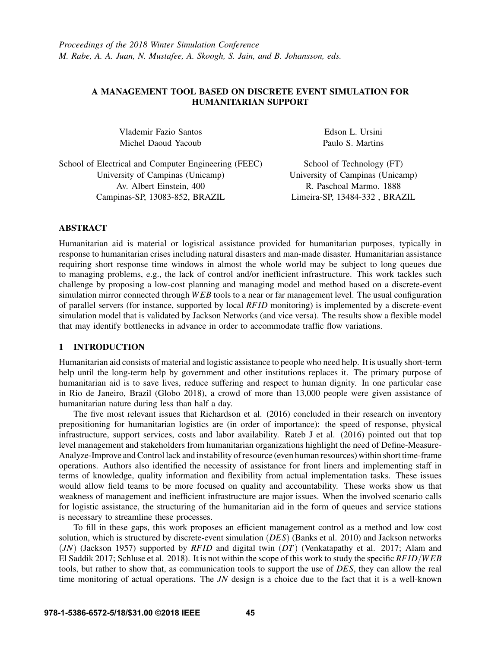# A MANAGEMENT TOOL BASED ON DISCRETE EVENT SIMULATION FOR HUMANITARIAN SUPPORT

Vlademir Fazio Santos Michel Daoud Yacoub

Edson L. Ursini Paulo S. Martins

School of Electrical and Computer Engineering (FEEC) University of Campinas (Unicamp) Av. Albert Einstein, 400 Campinas-SP, 13083-852, BRAZIL

School of Technology (FT) University of Campinas (Unicamp) R. Paschoal Marmo. 1888 Limeira-SP, 13484-332 , BRAZIL

# ABSTRACT

Humanitarian aid is material or logistical assistance provided for humanitarian purposes, typically in response to humanitarian crises including natural disasters and man-made disaster. Humanitarian assistance requiring short response time windows in almost the whole world may be subject to long queues due to managing problems, e.g., the lack of control and/or inefficient infrastructure. This work tackles such challenge by proposing a low-cost planning and managing model and method based on a discrete-event simulation mirror connected through *W EB* tools to a near or far management level. The usual configuration of parallel servers (for instance, supported by local *RF ID* monitoring) is implemented by a discrete-event simulation model that is validated by Jackson Networks (and vice versa). The results show a flexible model that may identify bottlenecks in advance in order to accommodate traffic flow variations.

# 1 INTRODUCTION

Humanitarian aid consists of material and logistic assistance to people who need help. It is usually short-term help until the long-term help by government and other institutions replaces it. The primary purpose of humanitarian aid is to save lives, reduce suffering and respect to human dignity. In one particular case in Rio de Janeiro, Brazil (Globo 2018), a crowd of more than 13,000 people were given assistance of humanitarian nature during less than half a day.

The five most relevant issues that Richardson et al. (2016) concluded in their research on inventory prepositioning for humanitarian logistics are (in order of importance): the speed of response, physical infrastructure, support services, costs and labor availability. Rateb J et al. (2016) pointed out that top level management and stakeholders from humanitarian organizations highlight the need of Define-Measure-Analyze-Improve and Control lack and instability of resource (even human resources) within short time-frame operations. Authors also identified the necessity of assistance for front liners and implementing staff in terms of knowledge, quality information and flexibility from actual implementation tasks. These issues would allow field teams to be more focused on quality and accountability. These works show us that weakness of management and inefficient infrastructure are major issues. When the involved scenario calls for logistic assistance, the structuring of the humanitarian aid in the form of queues and service stations is necessary to streamline these processes.

To fill in these gaps, this work proposes an efficient management control as a method and low cost solution, which is structured by discrete-event simulation (*DES*) (Banks et al. 2010) and Jackson networks (*JN*) (Jackson 1957) supported by *RF ID* and digital twin (*DT*) (Venkatapathy et al. 2017; Alam and El Saddik 2017; Schluse et al. 2018). It is not within the scope of this work to study the specific *RF ID*/*W EB* tools, but rather to show that, as communication tools to support the use of *DES*, they can allow the real time monitoring of actual operations. The *JN* design is a choice due to the fact that it is a well-known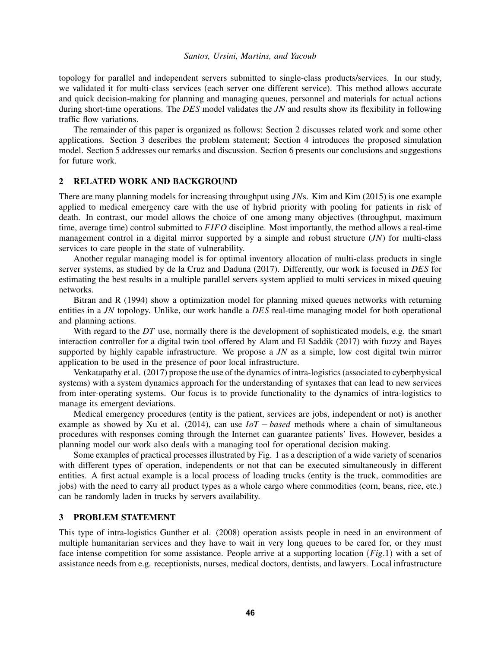topology for parallel and independent servers submitted to single-class products/services. In our study, we validated it for multi-class services (each server one different service). This method allows accurate and quick decision-making for planning and managing queues, personnel and materials for actual actions during short-time operations. The *DES* model validates the *JN* and results show its flexibility in following traffic flow variations.

The remainder of this paper is organized as follows: Section 2 discusses related work and some other applications. Section 3 describes the problem statement; Section 4 introduces the proposed simulation model. Section 5 addresses our remarks and discussion. Section 6 presents our conclusions and suggestions for future work.

## 2 RELATED WORK AND BACKGROUND

There are many planning models for increasing throughput using *JN*s. Kim and Kim (2015) is one example applied to medical emergency care with the use of hybrid priority with pooling for patients in risk of death. In contrast, our model allows the choice of one among many objectives (throughput, maximum time, average time) control submitted to *F IFO* discipline. Most importantly, the method allows a real-time management control in a digital mirror supported by a simple and robust structure (*JN*) for multi-class services to care people in the state of vulnerability.

Another regular managing model is for optimal inventory allocation of multi-class products in single server systems, as studied by de la Cruz and Daduna (2017). Differently, our work is focused in *DES* for estimating the best results in a multiple parallel servers system applied to multi services in mixed queuing networks.

Bitran and R (1994) show a optimization model for planning mixed queues networks with returning entities in a *JN* topology. Unlike, our work handle a *DES* real-time managing model for both operational and planning actions.

With regard to the *DT* use, normally there is the development of sophisticated models, e.g. the smart interaction controller for a digital twin tool offered by Alam and El Saddik (2017) with fuzzy and Bayes supported by highly capable infrastructure. We propose a *JN* as a simple, low cost digital twin mirror application to be used in the presence of poor local infrastructure.

Venkatapathy et al. (2017) propose the use of the dynamics of intra-logistics (associated to cyberphysical systems) with a system dynamics approach for the understanding of syntaxes that can lead to new services from inter-operating systems. Our focus is to provide functionality to the dynamics of intra-logistics to manage its emergent deviations.

Medical emergency procedures (entity is the patient, services are jobs, independent or not) is another example as showed by Xu et al. (2014), can use *IoT* − *based* methods where a chain of simultaneous procedures with responses coming through the Internet can guarantee patients' lives. However, besides a planning model our work also deals with a managing tool for operational decision making.

Some examples of practical processes illustrated by Fig. 1 as a description of a wide variety of scenarios with different types of operation, independents or not that can be executed simultaneously in different entities. A first actual example is a local process of loading trucks (entity is the truck, commodities are jobs) with the need to carry all product types as a whole cargo where commodities (corn, beans, rice, etc.) can be randomly laden in trucks by servers availability.

## 3 PROBLEM STATEMENT

This type of intra-logistics Gunther et al. (2008) operation assists people in need in an environment of multiple humanitarian services and they have to wait in very long queues to be cared for, or they must face intense competition for some assistance. People arrive at a supporting location (*Fig*.1) with a set of assistance needs from e.g. receptionists, nurses, medical doctors, dentists, and lawyers. Local infrastructure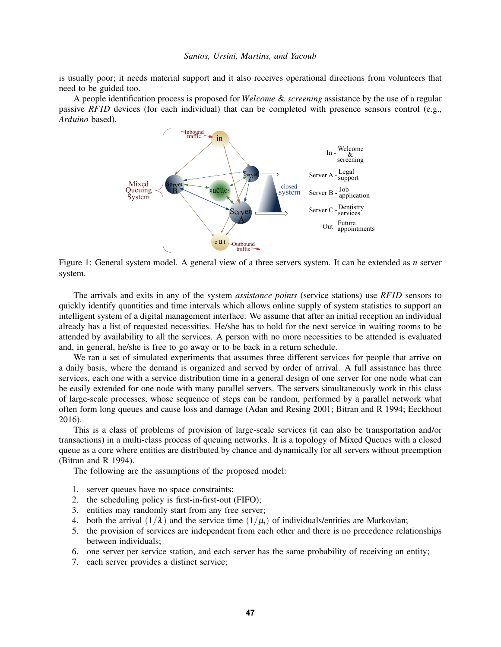is usually poor; it needs material support and it also receives operational directions from volunteers that need to be guided too.

A people identification process is proposed for *Welcome* & *screening* assistance by the use of a regular passive *RFID* devices (for each individual) that can be completed with presence sensors control (e.g., *Arduino* based).



Figure 1: General system model. A general view of a three servers system. It can be extended as *n* server system.

The arrivals and exits in any of the system *assistance points* (service stations) use *RF ID* sensors to quickly identify quantities and time intervals which allows online supply of system statistics to support an intelligent system of a digital management interface. We assume that after an initial reception an individual already has a list of requested necessities. He/she has to hold for the next service in waiting rooms to be attended by availability to all the services. A person with no more necessities to be attended is evaluated and, in general, he/she is free to go away or to be back in a return schedule.

We ran a set of simulated experiments that assumes three different services for people that arrive on a daily basis, where the demand is organized and served by order of arrival. A full assistance has three services, each one with a service distribution time in a general design of one server for one node what can be easily extended for one node with many parallel servers. The servers simultaneously work in this class of large-scale processes, whose sequence of steps can be random, performed by a parallel network what often form long queues and cause loss and damage (Adan and Resing 2001; Bitran and R 1994; Eeckhout 2016).

This is a class of problems of provision of large-scale services (it can also be transportation and/or transactions) in a multi-class process of queuing networks. It is a topology of Mixed Queues with a closed queue as a core where entities are distributed by chance and dynamically for all servers without preemption (Bitran and R 1994).

The following are the assumptions of the proposed model:

- 1. server queues have no space constraints;
- 2. the scheduling policy is first-in-first-out (FIFO);
- 3. entities may randomly start from any free server;
- 4. both the arrival  $(1/\lambda)$  and the service time  $(1/\mu_i)$  of individuals/entities are Markovian;
- 5. the provision of services are independent from each other and there is no precedence relationships between individuals;
- 6. one server per service station, and each server has the same probability of receiving an entity;
- 7. each server provides a distinct service;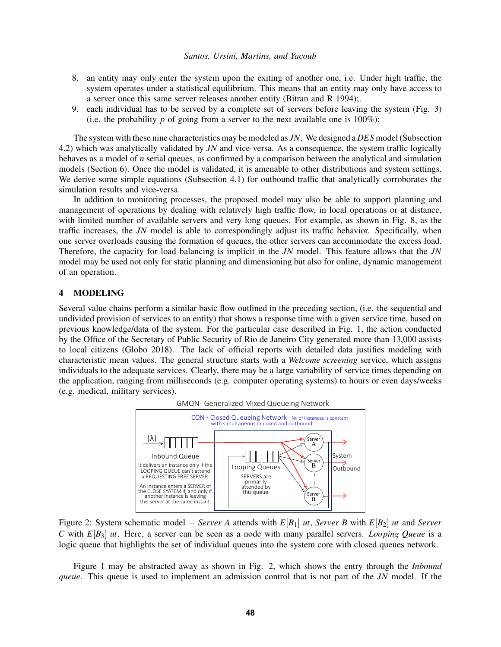- 8. an entity may only enter the system upon the exiting of another one, i.e. Under high traffic, the system operates under a statistical equilibrium. This means that an entity may only have access to a server once this same server releases another entity (Bitran and R 1994);.
- 9. each individual has to be served by a complete set of servers before leaving the system (Fig. 3) (i.e. the probability *p* of going from a server to the next available one is  $100\%$ );

The system with these nine characteristics may be modeled as *JN*. We designed a *DES* model (Subsection 4.2) which was analytically validated by *JN* and vice-versa. As a consequence, the system traffic logically behaves as a model of *n* serial queues, as confirmed by a comparison between the analytical and simulation models (Section 6). Once the model is validated, it is amenable to other distributions and system settings. We derive some simple equations (Subsection 4.1) for outbound traffic that analytically corroborates the simulation results and vice-versa.

In addition to monitoring processes, the proposed model may also be able to support planning and management of operations by dealing with relatively high traffic flow, in local operations or at distance, with limited number of available servers and very long queues. For example, as shown in Fig. 8, as the traffic increases, the *JN* model is able to correspondingly adjust its traffic behavior. Specifically, when one server overloads causing the formation of queues, the other servers can accommodate the excess load. Therefore, the capacity for load balancing is implicit in the *JN* model. This feature allows that the *JN* model may be used not only for static planning and dimensioning but also for online, dynamic management of an operation.

# 4 MODELING

Several value chains perform a similar basic flow outlined in the preceding section, (i.e. the sequential and undivided provision of services to an entity) that shows a response time with a given service time, based on previous knowledge/data of the system. For the particular case described in Fig. 1, the action conducted by the Office of the Secretary of Public Security of Rio de Janeiro City generated more than 13,000 assists to local citizens (Globo 2018). The lack of official reports with detailed data justifies modeling with characteristic mean values. The general structure starts with a *Welcome screening* service, which assigns individuals to the adequate services. Clearly, there may be a large variability of service times depending on the application, ranging from milliseconds (e.g. computer operating systems) to hours or even days/weeks (e.g. medical, military services).



Figure 2: System schematic model − *Server A* attends with *E*[*B*1] *ut*, *Server B* with *E*[*B*2] *ut* and *Server C* with *E*[*B*3] *ut*. Here, a server can be seen as a node with many parallel servers. *Looping Queue* is a logic queue that highlights the set of individual queues into the system core with closed queues network.

Figure 1 may be abstracted away as shown in Fig. 2, which shows the entry through the *Inbound queue*. This queue is used to implement an admission control that is not part of the *JN* model. If the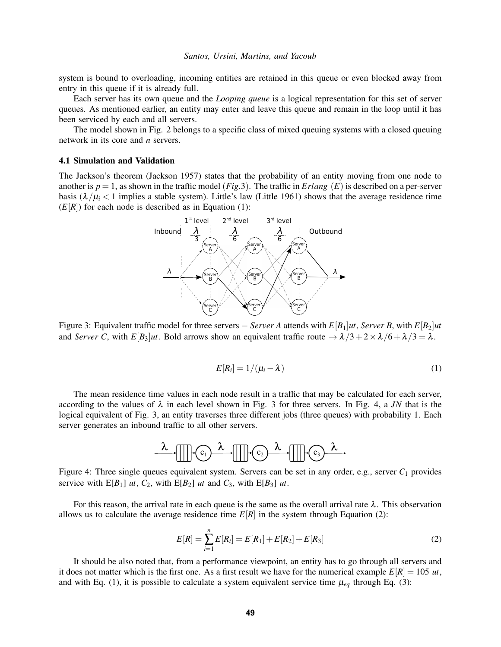system is bound to overloading, incoming entities are retained in this queue or even blocked away from entry in this queue if it is already full.

Each server has its own queue and the *Looping queue* is a logical representation for this set of server queues. As mentioned earlier, an entity may enter and leave this queue and remain in the loop until it has been serviced by each and all servers.

The model shown in Fig. 2 belongs to a specific class of mixed queuing systems with a closed queuing network in its core and *n* servers.

## 4.1 Simulation and Validation

The Jackson's theorem (Jackson 1957) states that the probability of an entity moving from one node to another is  $p = 1$ , as shown in the traffic model (*Fig.3*). The traffic in *Erlang* (*E*) is described on a per-server basis  $(\lambda/\mu_i < 1$  implies a stable system). Little's law (Little 1961) shows that the average residence time  $(E[R])$  for each node is described as in Equation (1):



Figure 3: Equivalent traffic model for three servers − *Server A* attends with *E*[*B*1]*ut*, *Server B*, with *E*[*B*2]*ut* and *Server C*, with  $E[B_3]$ *ut*. Bold arrows show an equivalent traffic route  $\rightarrow \lambda/3 + 2 \times \lambda/6 + \lambda/3 = \lambda$ .

$$
E[R_i] = 1/(\mu_i - \lambda) \tag{1}
$$

The mean residence time values in each node result in a traffic that may be calculated for each server, according to the values of  $\lambda$  in each level shown in Fig. 3 for three servers. In Fig. 4, a *JN* that is the logical equivalent of Fig. 3, an entity traverses three different jobs (three queues) with probability 1. Each server generates an inbound traffic to all other servers.



Figure 4: Three single queues equivalent system. Servers can be set in any order, e.g., server *C*<sup>1</sup> provides service with  $E[B_1]$  *ut*,  $C_2$ , with  $E[B_2]$  *ut* and  $C_3$ , with  $E[B_3]$  *ut*.

For this reason, the arrival rate in each queue is the same as the overall arrival rate  $\lambda$ . This observation allows us to calculate the average residence time  $E[R]$  in the system through Equation (2):

$$
E[R] = \sum_{i=1}^{n} E[R_i] = E[R_1] + E[R_2] + E[R_3]
$$
\n(2)

It should be also noted that, from a performance viewpoint, an entity has to go through all servers and it does not matter which is the first one. As a first result we have for the numerical example  $E[R] = 105 \, ut$ , and with Eq. (1), it is possible to calculate a system equivalent service time  $\mu_{eq}$  through Eq. (3):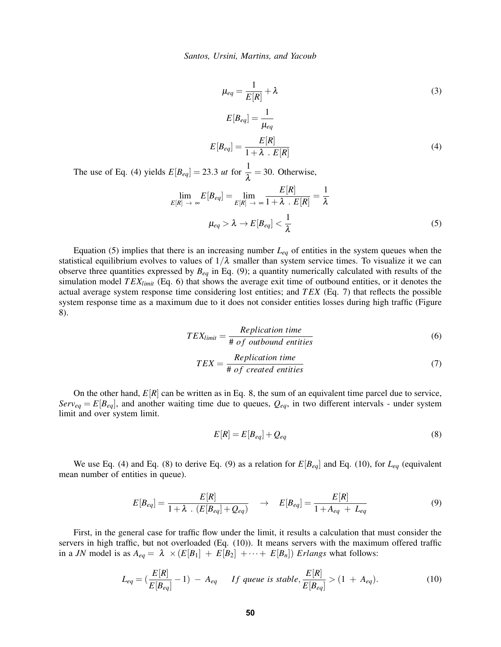$$
\mu_{eq} = \frac{1}{E[R]} + \lambda
$$
\n
$$
E[B_{eq}] = \frac{1}{\mu_{eq}}
$$
\n
$$
E[B_{eq}] = \frac{E[R]}{1 + \lambda \cdot E[R]}
$$
\n(3)

The use of Eq. (4) yields  $E[B_{eq}] = 23.3$  *ut* for  $\frac{1}{\lambda}$ = 30. Otherwise,

$$
\lim_{E[R] \to \infty} E[B_{eq}] = \lim_{E[R] \to \infty} \frac{E[R]}{1 + \lambda \cdot E[R]} = \frac{1}{\lambda}
$$
\n
$$
\mu_{eq} > \lambda \to E[B_{eq}] < \frac{1}{\lambda}
$$
\n(5)

Equation (5) implies that there is an increasing number  $L_{eq}$  of entities in the system queues when the statistical equilibrium evolves to values of  $1/\lambda$  smaller than system service times. To visualize it we can observe three quantities expressed by *Beq* in Eq. (9); a quantity numerically calculated with results of the simulation model  $TEX_{limit}$  (Eq. 6) that shows the average exit time of outbound entities, or it denotes the actual average system response time considering lost entities; and *T EX* (Eq. 7) that reflects the possible system response time as a maximum due to it does not consider entities losses during high traffic (Figure 8).

$$
TEX_{limit} = \frac{Replication\ time}{\#\ of\ outbound\ entities} \tag{6}
$$

$$
TEX = \frac{Replication \ time}{\# \ of \ created \ entities} \tag{7}
$$

On the other hand,  $E[R]$  can be written as in Eq. 8, the sum of an equivalent time parcel due to service,  $Serveq = E[B_{eq}]$ , and another waiting time due to queues,  $Q_{eq}$ , in two different intervals - under system limit and over system limit.

$$
E[R] = E[B_{eq}] + Q_{eq} \tag{8}
$$

We use Eq. (4) and Eq. (8) to derive Eq. (9) as a relation for  $E[B_{eq}]$  and Eq. (10), for  $L_{eq}$  (equivalent mean number of entities in queue).

$$
E[B_{eq}] = \frac{E[R]}{1 + \lambda \cdot (E[B_{eq}] + Q_{eq})} \rightarrow E[B_{eq}] = \frac{E[R]}{1 + A_{eq} + L_{eq}} \tag{9}
$$

First, in the general case for traffic flow under the limit, it results a calculation that must consider the servers in high traffic, but not overloaded (Eq. (10)). It means servers with the maximum offered traffic in a *JN* model is as  $A_{eq} = \lambda \times (E[B_1] + E[B_2] + \cdots + E[B_n])$  *Erlangs* what follows:

$$
L_{eq} = \left(\frac{E[R]}{E[B_{eq}]}-1\right) - A_{eq} \qquad \text{If queue is stable, } \frac{E[R]}{E[B_{eq}]} > (1 + A_{eq}). \tag{10}
$$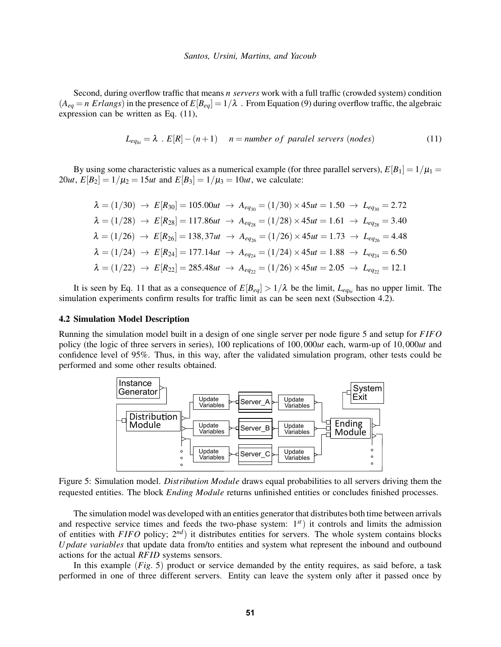Second, during overflow traffic that means *n servers* work with a full traffic (crowded system) condition  $(A_{eq} = n \text{ Erlangs})$  in the presence of  $E[B_{eq}] = 1/\lambda$ . From Equation (9) during overflow traffic, the algebraic expression can be written as Eq. (11),

$$
L_{eq_{hi}} = \lambda \cdot E[R] - (n+1) \quad n = number of parallel servers (nodes)
$$
 (11)

By using some characteristic values as a numerical example (for three parallel servers),  $E[B_1] = 1/\mu_1 =$ 20*ut*,  $E[B_2] = 1/\mu_2 = 15$ *ut* and  $E[B_3] = 1/\mu_3 = 10$ *ut*, we calculate:

$$
\lambda = (1/30) \rightarrow E[R_{30}] = 105.00ut \rightarrow A_{eq_{30}} = (1/30) \times 45ut = 1.50 \rightarrow L_{eq_{30}} = 2.72
$$
\n
$$
\lambda = (1/28) \rightarrow E[R_{28}] = 117.86ut \rightarrow A_{eq_{28}} = (1/28) \times 45ut = 1.61 \rightarrow L_{eq_{28}} = 3.40
$$
\n
$$
\lambda = (1/26) \rightarrow E[R_{26}] = 138,37ut \rightarrow A_{eq_{26}} = (1/26) \times 45ut = 1.73 \rightarrow L_{eq_{26}} = 4.48
$$
\n
$$
\lambda = (1/24) \rightarrow E[R_{24}] = 177.14ut \rightarrow A_{eq_{24}} = (1/24) \times 45ut = 1.88 \rightarrow L_{eq_{24}} = 6.50
$$
\n
$$
\lambda = (1/22) \rightarrow E[R_{22}] = 285.48ut \rightarrow A_{eq_{22}} = (1/26) \times 45ut = 2.05 \rightarrow L_{eq_{22}} = 12.1
$$

It is seen by Eq. 11 that as a consequence of  $E[B_{eq}] > 1/\lambda$  be the limit,  $L_{eq_{hi}}$  has no upper limit. The simulation experiments confirm results for traffic limit as can be seen next (Subsection 4.2).

### 4.2 Simulation Model Description

Running the simulation model built in a design of one single server per node figure 5 and setup for *F IFO* policy (the logic of three servers in series), 100 replications of 100,000*ut* each, warm-up of 10,000*ut* and confidence level of 95%. Thus, in this way, after the validated simulation program, other tests could be performed and some other results obtained.



Figure 5: Simulation model. *Distribution Module* draws equal probabilities to all servers driving them the requested entities. The block *Ending Module* returns unfinished entities or concludes finished processes.

The simulation model was developed with an entities generator that distributes both time between arrivals and respective service times and feeds the two-phase system: 1*st*) it controls and limits the admission of entities with *F IFO* policy; 2*nd*) it distributes entities for servers. The whole system contains blocks *U pdate variables* that update data from/to entities and system what represent the inbound and outbound actions for the actual *RF ID* systems sensors.

In this example (*Fig*. 5) product or service demanded by the entity requires, as said before, a task performed in one of three different servers. Entity can leave the system only after it passed once by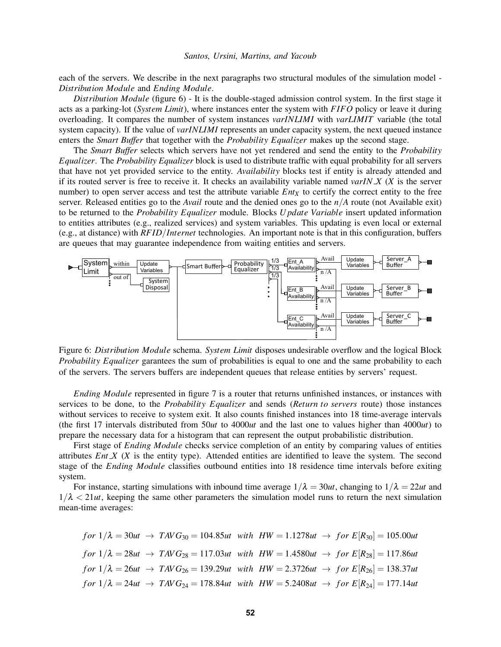each of the servers. We describe in the next paragraphs two structural modules of the simulation model - *Distribution Module* and *Ending Module*.

*Distribution Module* (figure 6) - It is the double-staged admission control system. In the first stage it acts as a parking-lot (*System Limit*), where instances enter the system with *F IFO* policy or leave it during overloading. It compares the number of system instances *varINLIMI* with *varLIMIT* variable (the total system capacity). If the value of *varINLIMI* represents an under capacity system, the next queued instance enters the *Smart Buffer* that together with the *Probability Equalizer* makes up the second stage.

The *Smart Buffer* selects which servers have not yet rendered and send the entity to the *Probability Equalizer*. The *Probability Equalizer* block is used to distribute traffic with equal probability for all servers that have not yet provided service to the entity. *Availability* blocks test if entity is already attended and if its routed server is free to receive it. It checks an availability variable named *varIN X* (*X* is the server number) to open server access and test the attribute variable  $Ent<sub>X</sub>$  to certify the correct entity to the free server. Released entities go to the *Avail* route and the denied ones go to the *n*/*A* route (not Available exit) to be returned to the *Probability Equalizer* module. Blocks *U pdate Variable* insert updated information to entities attributes (e.g., realized services) and system variables. This updating is even local or external (e.g., at distance) with *RF ID*/*Internet* technologies. An important note is that in this configuration, buffers are queues that may guarantee independence from waiting entities and servers.



Figure 6: *Distribution Module* schema. *System Limit* disposes undesirable overflow and the logical Block *Probability Equalizer* garantees the sum of probabilities is equal to one and the same probability to each of the servers. The servers buffers are independent queues that release entities by servers' request.

*Ending Module* represented in figure 7 is a router that returns unfinished instances, or instances with services to be done, to the *Probability Equalizer* and sends (*Return to servers* route) those instances without services to receive to system exit. It also counts finished instances into 18 time-average intervals (the first 17 intervals distributed from 50*ut* to 4000*ut* and the last one to values higher than 4000*ut*) to prepare the necessary data for a histogram that can represent the output probabilistic distribution.

First stage of *Ending Module* checks service completion of an entity by comparing values of entities attributes  $Ent X$  ( $X$  is the entity type). Attended entities are identified to leave the system. The second stage of the *Ending Module* classifies outbound entities into 18 residence time intervals before exiting system.

For instance, starting simulations with inbound time average  $1/\lambda = 30ut$ , changing to  $1/\lambda = 22ut$  and  $1/\lambda < 21ut$ , keeping the same other parameters the simulation model runs to return the next simulation mean-time averages:

for 
$$
1/\lambda = 30ut
$$
 →  $TAVG_{30} = 104.85ut$  with  $HW = 1.1278ut$  → for  $E[R_{30}] = 105.00ut$   
for  $1/\lambda = 28ut$  →  $TAVG_{28} = 117.03ut$  with  $HW = 1.4580ut$  → for  $E[R_{28}] = 117.86ut$   
for  $1/\lambda = 26ut$  →  $TAVG_{26} = 139.29ut$  with  $HW = 2.3726ut$  → for  $E[R_{26}] = 138.37ut$   
for  $1/\lambda = 24ut$  →  $TAVG_{24} = 178.84ut$  with  $HW = 5.2408ut$  → for  $E[R_{24}] = 177.14ut$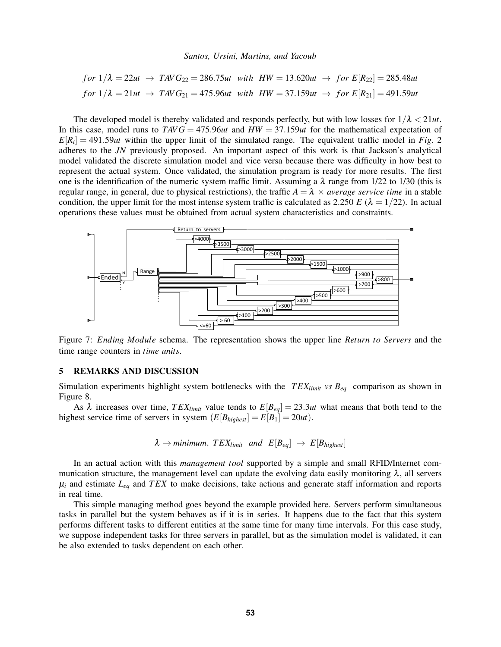for 
$$
1/\lambda = 22ut \rightarrow TAVG_{22} = 286.75ut
$$
 with  $HW = 13.620ut \rightarrow$  for  $E[R_{22}] = 285.48ut$   
for  $1/\lambda = 21ut \rightarrow TAVG_{21} = 475.96ut$  with  $HW = 37.159ut \rightarrow$  for  $E[R_{21}] = 491.59ut$ 

The developed model is thereby validated and responds perfectly, but with low losses for  $1/\lambda < 21ut$ . In this case, model runs to  $TAVG = 475.96ut$  and  $HW = 37.159ut$  for the mathematical expectation of  $E[R_i] = 491.59$ *ut* within the upper limit of the simulated range. The equivalent traffic model in *Fig.* 2 adheres to the *JN* previously proposed. An important aspect of this work is that Jackson's analytical model validated the discrete simulation model and vice versa because there was difficulty in how best to represent the actual system. Once validated, the simulation program is ready for more results. The first one is the identification of the numeric system traffic limit. Assuming a  $\lambda$  range from 1/22 to 1/30 (this is regular range, in general, due to physical restrictions), the traffic  $A = \lambda \times average$  service time in a stable condition, the upper limit for the most intense system traffic is calculated as 2.250 *E* ( $\lambda = 1/22$ ). In actual operations these values must be obtained from actual system characteristics and constraints.



Figure 7: *Ending Module* schema. The representation shows the upper line *Return to Servers* and the time range counters in *time units*.

#### 5 REMARKS AND DISCUSSION

Simulation experiments highlight system bottlenecks with the *T EXlimit vs Beq* comparison as shown in Figure 8.

As  $\lambda$  increases over time,  $T E X_{limit}$  value tends to  $E[B_{eq}]=23.3$ *ut* what means that both tend to the highest service time of servers in system  $(E[B_{highest}] = E[B_1] = 20ut)$ .

$$
\lambda \rightarrow minimum, TEX_{limit} \text{ and } E[B_{eq}] \rightarrow E[B_{highest}]
$$

In an actual action with this *management tool* supported by a simple and small RFID/Internet communication structure, the management level can update the evolving data easily monitoring  $\lambda$ , all servers  $\mu_i$  and estimate  $L_{eq}$  and *TEX* to make decisions, take actions and generate staff information and reports in real time.

This simple managing method goes beyond the example provided here. Servers perform simultaneous tasks in parallel but the system behaves as if it is in series. It happens due to the fact that this system performs different tasks to different entities at the same time for many time intervals. For this case study, we suppose independent tasks for three servers in parallel, but as the simulation model is validated, it can be also extended to tasks dependent on each other.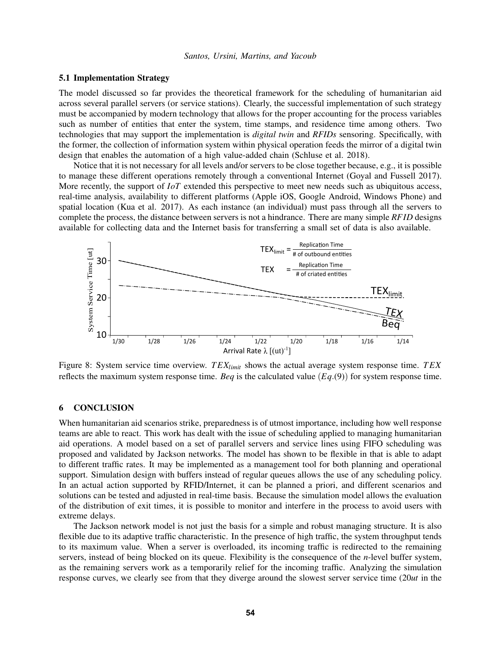## 5.1 Implementation Strategy

The model discussed so far provides the theoretical framework for the scheduling of humanitarian aid across several parallel servers (or service stations). Clearly, the successful implementation of such strategy must be accompanied by modern technology that allows for the proper accounting for the process variables such as number of entities that enter the system, time stamps, and residence time among others. Two technologies that may support the implementation is *digital twin* and *RFIDs* sensoring. Specifically, with the former, the collection of information system within physical operation feeds the mirror of a digital twin design that enables the automation of a high value-added chain (Schluse et al. 2018).

Notice that it is not necessary for all levels and/or servers to be close together because, e.g., it is possible to manage these different operations remotely through a conventional Internet (Goyal and Fussell 2017). More recently, the support of *IoT* extended this perspective to meet new needs such as ubiquitous access, real-time analysis, availability to different platforms (Apple iOS, Google Android, Windows Phone) and spatial location (Kua et al. 2017). As each instance (an individual) must pass through all the servers to complete the process, the distance between servers is not a hindrance. There are many simple *RF ID* designs available for collecting data and the Internet basis for transferring a small set of data is also available.



Figure 8: System service time overview. *TEX*<sub>*limit*</sub> shows the actual average system response time. *TEX* reflects the maximum system response time. *Beq* is the calculated value  $(Eq.9)$  for system response time.

### 6 CONCLUSION

When humanitarian aid scenarios strike, preparedness is of utmost importance, including how well response teams are able to react. This work has dealt with the issue of scheduling applied to managing humanitarian aid operations. A model based on a set of parallel servers and service lines using FIFO scheduling was proposed and validated by Jackson networks. The model has shown to be flexible in that is able to adapt to different traffic rates. It may be implemented as a management tool for both planning and operational support. Simulation design with buffers instead of regular queues allows the use of any scheduling policy. In an actual action supported by RFID/Internet, it can be planned a priori, and different scenarios and solutions can be tested and adjusted in real-time basis. Because the simulation model allows the evaluation of the distribution of exit times, it is possible to monitor and interfere in the process to avoid users with extreme delays.

The Jackson network model is not just the basis for a simple and robust managing structure. It is also flexible due to its adaptive traffic characteristic. In the presence of high traffic, the system throughput tends to its maximum value. When a server is overloaded, its incoming traffic is redirected to the remaining servers, instead of being blocked on its queue. Flexibility is the consequence of the *n*-level buffer system, as the remaining servers work as a temporarily relief for the incoming traffic. Analyzing the simulation response curves, we clearly see from that they diverge around the slowest server service time (20*ut* in the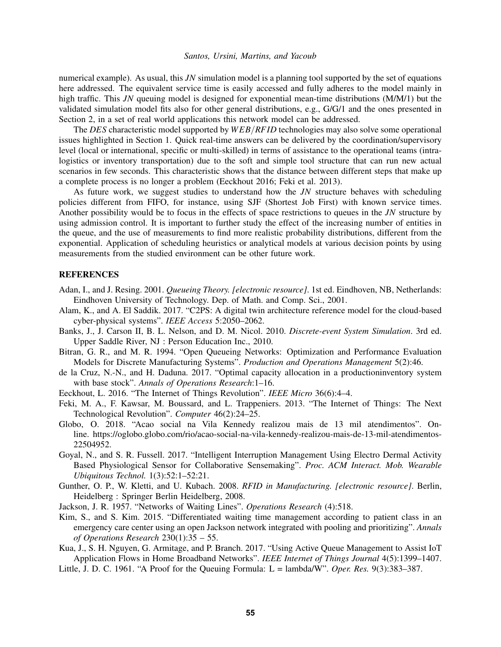numerical example). As usual, this *JN* simulation model is a planning tool supported by the set of equations here addressed. The equivalent service time is easily accessed and fully adheres to the model mainly in high traffic. This *JN* queuing model is designed for exponential mean-time distributions (M/M/1) but the validated simulation model fits also for other general distributions, e.g., G/G/1 and the ones presented in Section 2, in a set of real world applications this network model can be addressed.

The *DES* characteristic model supported by *W EB*/*RF ID* technologies may also solve some operational issues highlighted in Section 1. Quick real-time answers can be delivered by the coordination/supervisory level (local or international, specific or multi-skilled) in terms of assistance to the operational teams (intralogistics or inventory transportation) due to the soft and simple tool structure that can run new actual scenarios in few seconds. This characteristic shows that the distance between different steps that make up a complete process is no longer a problem (Eeckhout 2016; Feki et al. 2013).

As future work, we suggest studies to understand how the *JN* structure behaves with scheduling policies different from FIFO, for instance, using SJF (Shortest Job First) with known service times. Another possibility would be to focus in the effects of space restrictions to queues in the *JN* structure by using admission control. It is important to further study the effect of the increasing number of entities in the queue, and the use of measurements to find more realistic probability distributions, different from the exponential. Application of scheduling heuristics or analytical models at various decision points by using measurements from the studied environment can be other future work.

## **REFERENCES**

- Adan, I., and J. Resing. 2001. *Queueing Theory. [electronic resource]*. 1st ed. Eindhoven, NB, Netherlands: Eindhoven University of Technology. Dep. of Math. and Comp. Sci., 2001.
- Alam, K., and A. El Saddik. 2017. "C2PS: A digital twin architecture reference model for the cloud-based cyber-physical systems". *IEEE Access* 5:2050–2062.
- Banks, J., J. Carson II, B. L. Nelson, and D. M. Nicol. 2010. *Discrete-event System Simulation*. 3rd ed. Upper Saddle River, NJ : Person Education Inc., 2010.
- Bitran, G. R., and M. R. 1994. "Open Queueing Networks: Optimization and Performance Evaluation Models for Discrete Manufacturing Systems". *Production and Operations Management* 5(2):46.
- de la Cruz, N.-N., and H. Daduna. 2017. "Optimal capacity allocation in a productioninventory system with base stock". *Annals of Operations Research*:1–16.
- Eeckhout, L. 2016. "The Internet of Things Revolution". *IEEE Micro* 36(6):4–4.
- Feki, M. A., F. Kawsar, M. Boussard, and L. Trappeniers. 2013. "The Internet of Things: The Next Technological Revolution". *Computer* 46(2):24–25.
- Globo, O. 2018. "Acao social na Vila Kennedy realizou mais de 13 mil atendimentos". Online. https://oglobo.globo.com/rio/acao-social-na-vila-kennedy-realizou-mais-de-13-mil-atendimentos-22504952.
- Goyal, N., and S. R. Fussell. 2017. "Intelligent Interruption Management Using Electro Dermal Activity Based Physiological Sensor for Collaborative Sensemaking". *Proc. ACM Interact. Mob. Wearable Ubiquitous Technol.* 1(3):52:1–52:21.
- Gunther, O. P., W. Kletti, and U. Kubach. 2008. *RFID in Manufacturing. [electronic resource]*. Berlin, Heidelberg : Springer Berlin Heidelberg, 2008.
- Jackson, J. R. 1957. "Networks of Waiting Lines". *Operations Research* (4):518.
- Kim, S., and S. Kim. 2015. "Differentiated waiting time management according to patient class in an emergency care center using an open Jackson network integrated with pooling and prioritizing". *Annals of Operations Research* 230(1):35 – 55.
- Kua, J., S. H. Nguyen, G. Armitage, and P. Branch. 2017. "Using Active Queue Management to Assist IoT Application Flows in Home Broadband Networks". *IEEE Internet of Things Journal* 4(5):1399–1407.
- Little, J. D. C. 1961. "A Proof for the Queuing Formula: L = lambda/W". *Oper. Res.* 9(3):383–387.